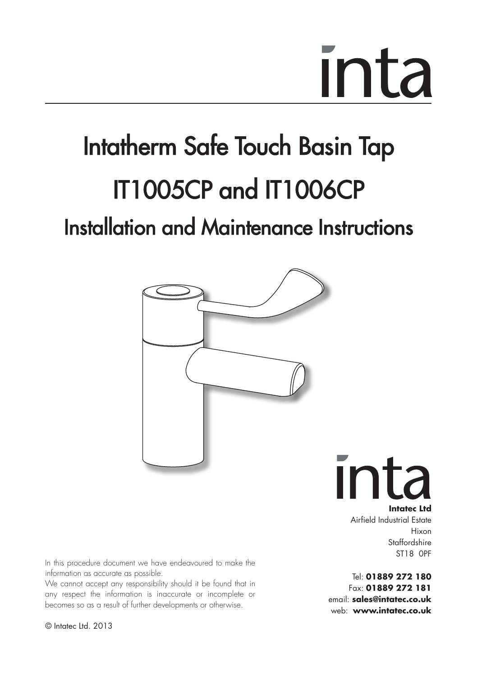## Intatherm Safe Touch Basin Tap IT1005CP and IT1006CP Installation and Maintenance Instructions



Ir **Intatec Ltd** Airfield Industrial Estate

Hixon **Staffordshire** ST18 0PF

Tel: **01889 272 180** Fax: **01889 272 181** email: **sales@intatec.co.uk** web: **www.intatec.co.uk**

In this procedure document we have endeavoured to make the information as accurate as possible.

We cannot accept any responsibility should it be found that in any respect the information is inaccurate or incomplete or becomes so as a result of further developments or otherwise.

© Intatec Ltd. 2013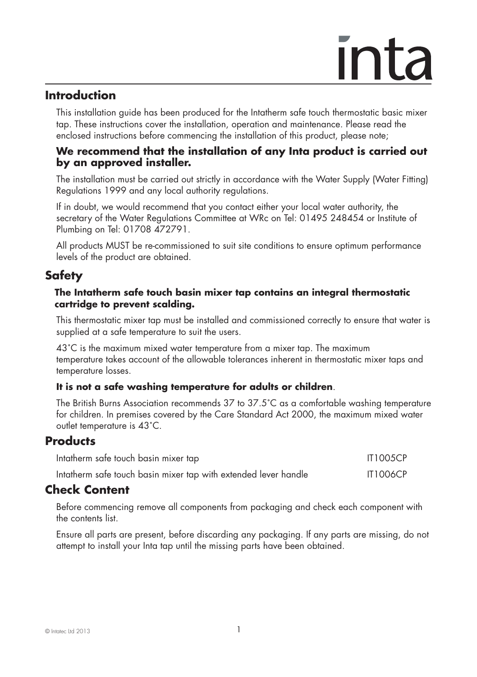### **Introduction**

 This installation guide has been produced for the Intatherm safe touch thermostatic basic mixer tap. These instructions cover the installation, operation and maintenance. Please read the enclosed instructions before commencing the installation of this product, please note;

### **We recommend that the installation of any Inta product is carried out by an approved installer.**

 The installation must be carried out strictly in accordance with the Water Supply (Water Fitting) Regulations 1999 and any local authority regulations.

 If in doubt, we would recommend that you contact either your local water authority, the secretary of the Water Regulations Committee at WRc on Tel: 01495 248454 or Institute of Plumbing on Tel: 01708 472791.

 All products MUST be re-commissioned to suit site conditions to ensure optimum performance levels of the product are obtained.

### **Safety**

#### **The Intatherm safe touch basin mixer tap contains an integral thermostatic cartridge to prevent scalding.**

This thermostatic mixer tap must be installed and commissioned correctly to ensure that water is supplied at a safe temperature to suit the users.

43˚C is the maximum mixed water temperature from a mixer tap. The maximum temperature takes account of the allowable tolerances inherent in thermostatic mixer taps and temperature losses.

### **It is not a safe washing temperature for adults or children**.

The British Burns Association recommends 37 to 37.5˚C as a comfortable washing temperature for children. In premises covered by the Care Standard Act 2000, the maximum mixed water outlet temperature is 43˚C.

### **Products**

| Intatherm safe touch basin mixer tap                            | <b>IT1005CP</b> |
|-----------------------------------------------------------------|-----------------|
| Intatherm safe touch basin mixer tap with extended lever handle | <b>IT1006CP</b> |

### **Check Content**

 Before commencing remove all components from packaging and check each component with the contents list.

 Ensure all parts are present, before discarding any packaging. If any parts are missing, do not attempt to install your Inta tap until the missing parts have been obtained.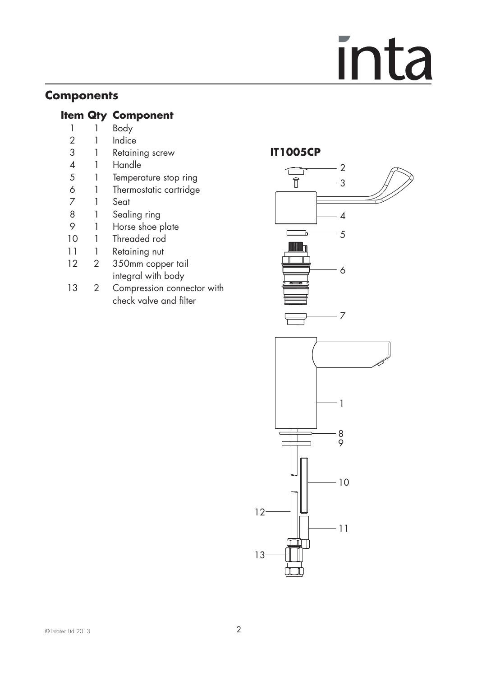## **Components**

## **Item Qty Component**<br>
1 Body

- 1 1 Body<br>2 1 Indice
- 1 Indice
- 3 1 Retaining screw<br>4 1 Handle
- 4 1 Handle<br>5 1 Tempero
- 5 1 Temperature stop ring<br>6 1 Thermostatic cartridae
- 6 1 Thermostatic cartridge
- 7 1 Seat
- 8 1 Sealing ring<br>9 1 Horse shoe r
- 9 1 Horse shoe plate<br>10 1 Threaded rod
- 1 Threaded rod
- 11 1 Retaining nut
- 12 2 350mm copper tail integral with body
- 13 2 Compression connector with check valve and filter

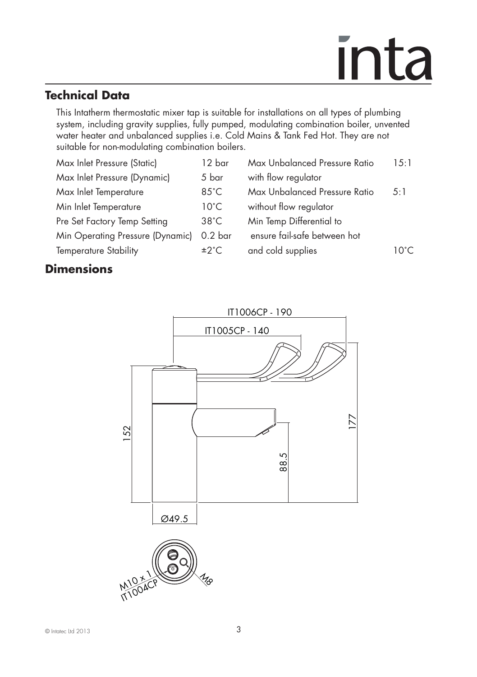## **Technical Data**

 This Intatherm thermostatic mixer tap is suitable for installations on all types of plumbing system, including gravity supplies, fully pumped, modulating combination boiler, unvented water heater and unbalanced supplies i.e. Cold Mains & Tank Fed Hot. They are not suitable for non-modulating combination boilers.

| Max Inlet Pressure (Static)      | 12 bar             | Max Unbalanced Pressure Ratio | 1.5:1 |
|----------------------------------|--------------------|-------------------------------|-------|
| Max Inlet Pressure (Dynamic)     | 5 bar              | with flow regulator           |       |
| Max Inlet Temperature            | $85^{\circ}$ C     | Max Unbalanced Pressure Ratio | 5:1   |
| Min Inlet Temperature            | $10^{\circ}$ C     | without flow regulator        |       |
| Pre Set Factory Temp Setting     | $38^{\circ}$ C     | Min Temp Differential to      |       |
| Min Operating Pressure (Dynamic) | 0.2 <sub>bar</sub> | ensure fail-safe between hot  |       |
| <b>Temperature Stability</b>     | ±2°C               | and cold supplies             | 10°C  |
|                                  |                    |                               |       |

## **Dimensions**

|     |        |   |       | IT1006CP - 190 |                |
|-----|--------|---|-------|----------------|----------------|
|     |        |   |       | IT1005CP - 140 |                |
|     |        |   |       |                |                |
| 152 |        |   |       | 88.5           | $\tilde{\sim}$ |
|     |        |   | Ø49.5 |                |                |
|     | M10211 | 등 |       | <sup>Izo</sup> |                |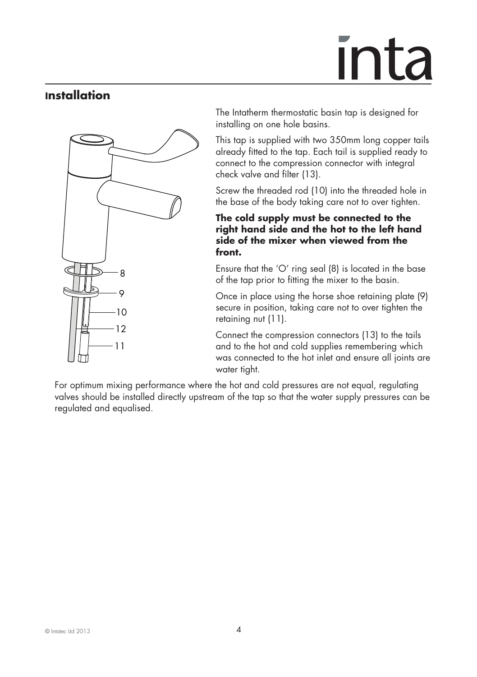## <u>Inta</u>

### **Installation**



The Intatherm thermostatic basin tap is designed for installing on one hole basins.

This tap is supplied with two 350mm long copper tails already fitted to the tap. Each tail is supplied ready to connect to the compression connector with integral check valve and filter (13).

Screw the threaded rod (10) into the threaded hole in the base of the body taking care not to over tighten.

#### **The cold supply must be connected to the right hand side and the hot to the left hand side of the mixer when viewed from the front.**

Ensure that the 'O' ring seal (8) is located in the base of the tap prior to fitting the mixer to the basin.

Once in place using the horse shoe retaining plate (9) secure in position, taking care not to over tighten the retaining nut (11).

Connect the compression connectors (13) to the tails and to the hot and cold supplies remembering which was connected to the hot inlet and ensure all joints are water tight.

 For optimum mixing performance where the hot and cold pressures are not equal, regulating valves should be installed directly upstream of the tap so that the water supply pressures can be regulated and equalised.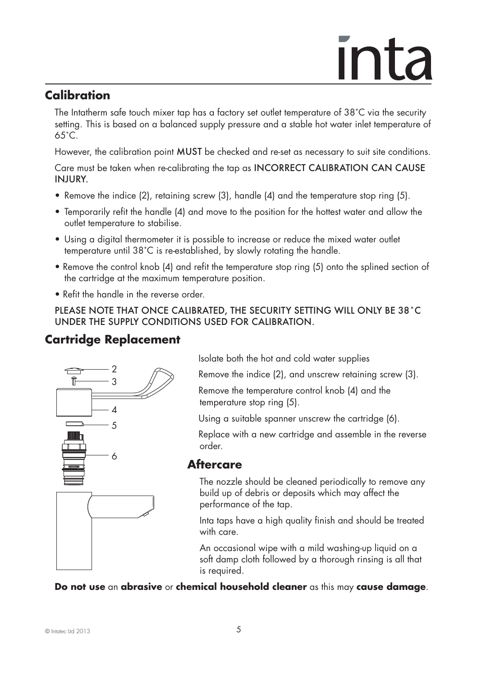## <u>Inta</u>

## **Calibration**

The Intatherm safe touch mixer tap has a factory set outlet temperature of 38˚C via the security setting. This is based on a balanced supply pressure and a stable hot water inlet temperature of 65˚C.

However, the calibration point MUST be checked and re-set as necessary to suit site conditions.

Care must be taken when re-calibrating the tap as INCORRECT CALIBRATION CAN CAUSE INJURY.

- Remove the indice (2), retaining screw (3), handle (4) and the temperature stop ring (5).
- Temporarily refit the handle (4) and move to the position for the hottest water and allow the outlet temperature to stabilise.
- Using a digital thermometer it is possible to increase or reduce the mixed water outlet temperature until 38˚C is re-established, by slowly rotating the handle.
- Remove the control knob (4) and refit the temperature stop ring (5) onto the splined section of the cartridge at the maximum temperature position.
- Refit the handle in the reverse order.

PLEASE NOTE THAT ONCE CALIBRATED, THE SECURITY SETTING WILL ONLY BE 38˚C UNDER THE SUPPLY CONDITIONS USED FOR CALIBRATION.

## **Cartridge Replacement**



Isolate both the hot and cold water supplies

Remove the indice (2), and unscrew retaining screw (3).

Remove the temperature control knob (4) and the temperature stop ring (5).

Using a suitable spanner unscrew the cartridge (6).

Replace with a new cartridge and assemble in the reverse order.

### **Aftercare**

The nozzle should be cleaned periodically to remove any build up of debris or deposits which may affect the performance of the tap.

Inta taps have a high quality finish and should be treated with care.

An occasional wipe with a mild washing-up liquid on a soft damp cloth followed by a thorough rinsing is all that is required.

**Do not use** an **abrasive** or **chemical household cleaner** as this may **cause damage**.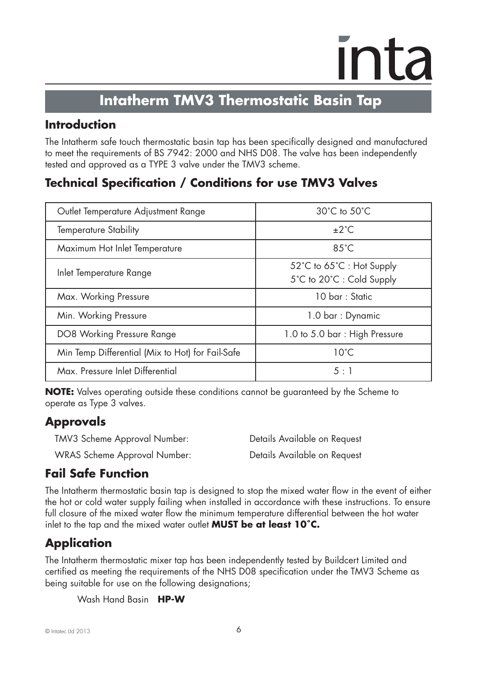## **Intatherm TMV3 Thermostatic Basin Tap**

## **Introduction**

The Intatherm safe touch thermostatic basin tap has been specifically designed and manufactured to meet the requirements of BS 7942: 2000 and NHS D08. The valve has been independently tested and approved as a TYPE 3 valve under the TMV3 scheme.

## **Technical Specification / Conditions for use TMV3 Valves**

| Outlet Temperature Adjustment Range              | 30°C to 50°C                                           |
|--------------------------------------------------|--------------------------------------------------------|
| <b>Temperature Stability</b>                     | $+2^{\circ}$ C                                         |
| Maximum Hot Inlet Temperature                    | $85^{\circ}$ C                                         |
| Inlet Temperature Range                          | 52°C to 65°C : Hot Supply<br>5°C to 20°C : Cold Supply |
| Max. Working Pressure                            | $10 \text{ bar} \cdot \text{Static}$                   |
| Min. Working Pressure                            | 1.0 bar : Dynamic                                      |
| DO8 Working Pressure Range                       | 1.0 to 5.0 bar: High Pressure                          |
| Min Temp Differential (Mix to Hot) for Fail-Safe | $10^{\circ}$ C                                         |
| Max. Pressure Inlet Differential                 | $5 \cdot 1$                                            |

**NOTE:** Valves operating outside these conditions cannot be guaranteed by the Scheme to operate as Type 3 valves.

## **Approvals**

| TMV3 Scheme Approval Number: | Details Available on Request |
|------------------------------|------------------------------|
| WRAS Scheme Approval Number: | Details Available on Request |

## **Fail Safe Function**

The Intatherm thermostatic basin tap is designed to stop the mixed water flow in the event of either the hot or cold water supply failing when installed in accordance with these instructions. To ensure full closure of the mixed water flow the minimum temperature differential between the hot water inlet to the tap and the mixed water outlet **MUST be at least 10˚C.**

## **Application**

The Intatherm thermostatic mixer tap has been independently tested by Buildcert Limited and certified as meeting the requirements of the NHS D08 specification under the TMV3 Scheme as being suitable for use on the following designations;

Wash Hand Basin **HP-W**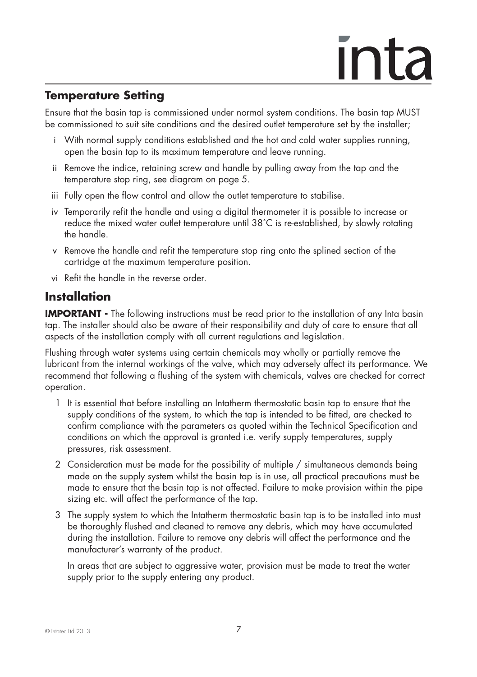## <u>**inta**</u>

## **Temperature Setting**

Ensure that the basin tap is commissioned under normal system conditions. The basin tap MUST be commissioned to suit site conditions and the desired outlet temperature set by the installer;

- i With normal supply conditions established and the hot and cold water supplies running, open the basin tap to its maximum temperature and leave running.
- ii Remove the indice, retaining screw and handle by pulling away from the tap and the temperature stop ring, see diagram on page 5.
- iii Fully open the flow control and allow the outlet temperature to stabilise.
- iv Temporarily refit the handle and using a digital thermometer it is possible to increase or reduce the mixed water outlet temperature until 38˚C is re-established, by slowly rotating the handle.
- v Remove the handle and refit the temperature stop ring onto the splined section of the cartridge at the maximum temperature position.
- vi Refit the handle in the reverse order.

### **Installation**

**IMPORTANT -** The following instructions must be read prior to the installation of any Inta basin tap. The installer should also be aware of their responsibility and duty of care to ensure that all aspects of the installation comply with all current regulations and legislation.

Flushing through water systems using certain chemicals may wholly or partially remove the lubricant from the internal workings of the valve, which may adversely affect its performance. We recommend that following a flushing of the system with chemicals, valves are checked for correct operation.

- 1 It is essential that before installing an Intatherm thermostatic basin tap to ensure that the supply conditions of the system, to which the tap is intended to be fitted, are checked to confirm compliance with the parameters as quoted within the Technical Specification and conditions on which the approval is granted i.e. verify supply temperatures, supply pressures, risk assessment.
- 2 Consideration must be made for the possibility of multiple / simultaneous demands being made on the supply system whilst the basin tap is in use, all practical precautions must be made to ensure that the basin tap is not affected. Failure to make provision within the pipe sizing etc. will affect the performance of the tap.
- 3 The supply system to which the Intatherm thermostatic basin tap is to be installed into must be thoroughly flushed and cleaned to remove any debris, which may have accumulated during the installation. Failure to remove any debris will affect the performance and the manufacturer's warranty of the product.

 In areas that are subject to aggressive water, provision must be made to treat the water supply prior to the supply entering any product.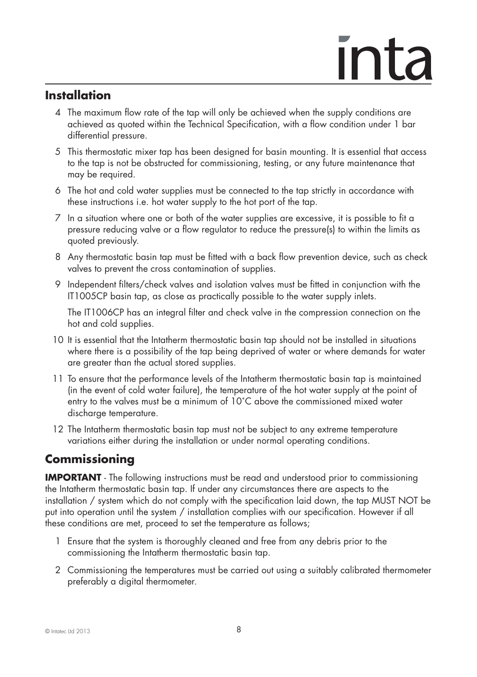## ınta

## **Installation**

- 4 The maximum flow rate of the tap will only be achieved when the supply conditions are achieved as quoted within the Technical Specification, with a flow condition under 1 bar differential pressure.
- 5 This thermostatic mixer tap has been designed for basin mounting. It is essential that access to the tap is not be obstructed for commissioning, testing, or any future maintenance that may be required.
- 6 The hot and cold water supplies must be connected to the tap strictly in accordance with these instructions i.e. hot water supply to the hot port of the tap.
- 7 In a situation where one or both of the water supplies are excessive, it is possible to fit a pressure reducing valve or a flow regulator to reduce the pressure(s) to within the limits as quoted previously.
- 8 Any thermostatic basin tap must be fitted with a back flow prevention device, such as check valves to prevent the cross contamination of supplies.
- 9 Independent filters/check valves and isolation valves must be fitted in conjunction with the IT1005CP basin tap, as close as practically possible to the water supply inlets.

 The IT1006CP has an integral filter and check valve in the compression connection on the hot and cold supplies.

- 10 It is essential that the Intatherm thermostatic basin tap should not be installed in situations where there is a possibility of the tap being deprived of water or where demands for water are greater than the actual stored supplies.
- 11 To ensure that the performance levels of the Intatherm thermostatic basin tap is maintained (in the event of cold water failure), the temperature of the hot water supply at the point of entry to the valves must be a minimum of 10˚C above the commissioned mixed water discharge temperature.
- 12 The Intatherm thermostatic basin tap must not be subject to any extreme temperature variations either during the installation or under normal operating conditions.

## **Commissioning**

**IMPORTANT** - The following instructions must be read and understood prior to commissioning the Intatherm thermostatic basin tap. If under any circumstances there are aspects to the installation / system which do not comply with the specification laid down, the tap MUST NOT be put into operation until the system / installation complies with our specification. However if all these conditions are met, proceed to set the temperature as follows;

- 1 Ensure that the system is thoroughly cleaned and free from any debris prior to the commissioning the Intatherm thermostatic basin tap.
- 2 Commissioning the temperatures must be carried out using a suitably calibrated thermometer preferably a digital thermometer.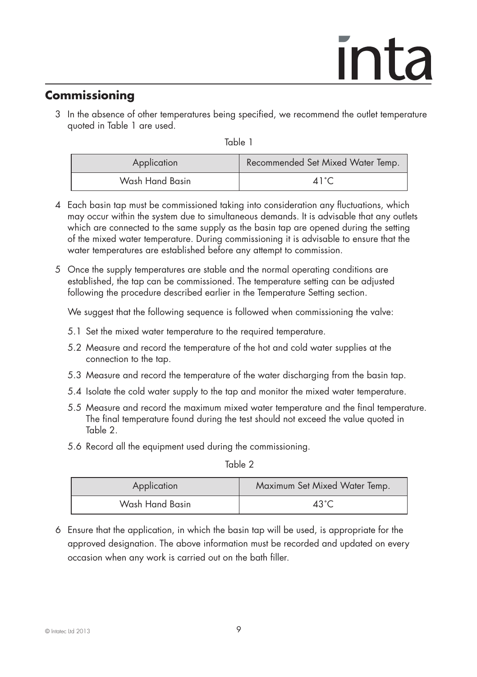## **Commissioning**

 3 In the absence of other temperatures being specified, we recommend the outlet temperature quoted in Table 1 are used.

Table 1

| Application     | Recommended Set Mixed Water Temp. |
|-----------------|-----------------------------------|
| Wash Hand Basin | $\Delta 1$ ° $\cap$               |

- 4 Each basin tap must be commissioned taking into consideration any fluctuations, which may occur within the system due to simultaneous demands. It is advisable that any outlets which are connected to the same supply as the basin tap are opened during the setting of the mixed water temperature. During commissioning it is advisable to ensure that the water temperatures are established before any attempt to commission.
- 5 Once the supply temperatures are stable and the normal operating conditions are established, the tap can be commissioned. The temperature setting can be adjusted following the procedure described earlier in the Temperature Setting section.

We suggest that the following sequence is followed when commissioning the valve:

- 5.1 Set the mixed water temperature to the required temperature.
- 5.2 Measure and record the temperature of the hot and cold water supplies at the connection to the tap.
- 5.3 Measure and record the temperature of the water discharging from the basin tap.
- 5.4 Isolate the cold water supply to the tap and monitor the mixed water temperature.
- 5.5 Measure and record the maximum mixed water temperature and the final temperature. The final temperature found during the test should not exceed the value quoted in Table 2.
- 5.6 Record all the equipment used during the commissioning.

Table 2

| Application     | Maximum Set Mixed Water Temp. |
|-----------------|-------------------------------|
| Wash Hand Basin | 43 $\degree$ C                |

6 Ensure that the application, in which the basin tap will be used, is appropriate for the approved designation. The above information must be recorded and updated on every occasion when any work is carried out on the bath filler.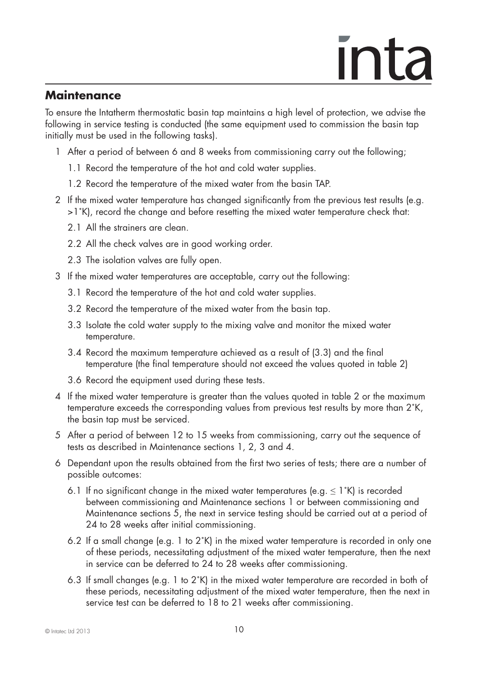### **Maintenance**

To ensure the Intatherm thermostatic basin tap maintains a high level of protection, we advise the following in service testing is conducted (the same equipment used to commission the basin tap initially must be used in the following tasks).

- 1 After a period of between 6 and 8 weeks from commissioning carry out the following;
	- 1.1 Record the temperature of the hot and cold water supplies.
	- 1.2 Record the temperature of the mixed water from the basin TAP.
- 2 If the mixed water temperature has changed significantly from the previous test results (e.g. >1˚K), record the change and before resetting the mixed water temperature check that:
	- 2.1 All the strainers are clean.
	- 2.2 All the check valves are in good working order.
	- 2.3 The isolation valves are fully open.
- 3 If the mixed water temperatures are acceptable, carry out the following:
	- 3.1 Record the temperature of the hot and cold water supplies.
	- 3.2 Record the temperature of the mixed water from the basin tap.
	- 3.3 Isolate the cold water supply to the mixing valve and monitor the mixed water temperature.
	- 3.4 Record the maximum temperature achieved as a result of (3.3) and the final temperature (the final temperature should not exceed the values quoted in table 2)
	- 3.6 Record the equipment used during these tests.
- 4 If the mixed water temperature is greater than the values quoted in table 2 or the maximum temperature exceeds the corresponding values from previous test results by more than 2˚K, the basin tap must be serviced.
- 5 After a period of between 12 to 15 weeks from commissioning, carry out the sequence of tests as described in Maintenance sections 1, 2, 3 and 4.
- 6 Dependant upon the results obtained from the first two series of tests; there are a number of possible outcomes:
	- 6.1 If no significant change in the mixed water temperatures (e.g.  $\leq 1$ °K) is recorded between commissioning and Maintenance sections 1 or between commissioning and Maintenance sections 5, the next in service testing should be carried out at a period of 24 to 28 weeks after initial commissioning.
	- 6.2 If a small change (e.g. 1 to 2˚K) in the mixed water temperature is recorded in only one of these periods, necessitating adjustment of the mixed water temperature, then the next in service can be deferred to 24 to 28 weeks after commissioning.
	- 6.3 If small changes (e.g. 1 to 2˚K) in the mixed water temperature are recorded in both of these periods, necessitating adjustment of the mixed water temperature, then the next in service test can be deferred to 18 to 21 weeks after commissioning.